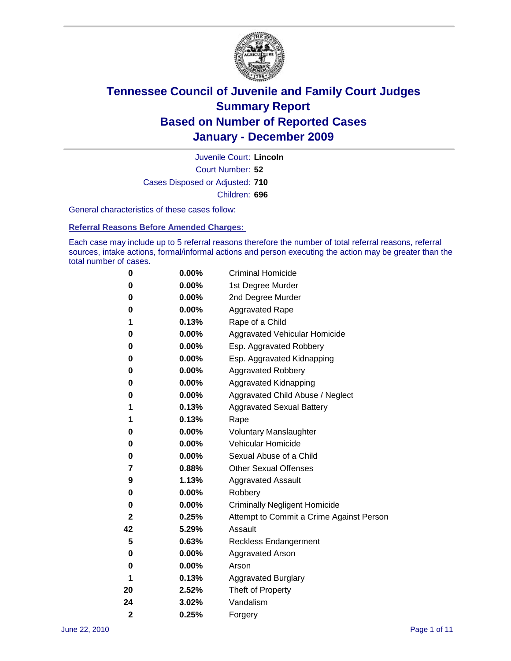

Court Number: **52** Juvenile Court: **Lincoln** Cases Disposed or Adjusted: **710** Children: **696**

General characteristics of these cases follow:

**Referral Reasons Before Amended Charges:** 

Each case may include up to 5 referral reasons therefore the number of total referral reasons, referral sources, intake actions, formal/informal actions and person executing the action may be greater than the total number of cases.

| 0              | 0.00%    | <b>Criminal Homicide</b>                 |
|----------------|----------|------------------------------------------|
| 0              | 0.00%    | 1st Degree Murder                        |
| 0              | 0.00%    | 2nd Degree Murder                        |
| 0              | 0.00%    | <b>Aggravated Rape</b>                   |
| 1              | 0.13%    | Rape of a Child                          |
| 0              | 0.00%    | Aggravated Vehicular Homicide            |
| 0              | 0.00%    | Esp. Aggravated Robbery                  |
| 0              | 0.00%    | Esp. Aggravated Kidnapping               |
| 0              | 0.00%    | <b>Aggravated Robbery</b>                |
| 0              | 0.00%    | Aggravated Kidnapping                    |
| 0              | 0.00%    | Aggravated Child Abuse / Neglect         |
| 1              | 0.13%    | <b>Aggravated Sexual Battery</b>         |
| 1              | 0.13%    | Rape                                     |
| 0              | $0.00\%$ | <b>Voluntary Manslaughter</b>            |
| 0              | 0.00%    | Vehicular Homicide                       |
| 0              | 0.00%    | Sexual Abuse of a Child                  |
| 7              | 0.88%    | <b>Other Sexual Offenses</b>             |
| 9              | 1.13%    | <b>Aggravated Assault</b>                |
| 0              | $0.00\%$ | Robbery                                  |
| 0              | 0.00%    | <b>Criminally Negligent Homicide</b>     |
| 2              | 0.25%    | Attempt to Commit a Crime Against Person |
| 42             | 5.29%    | Assault                                  |
| 5              | 0.63%    | <b>Reckless Endangerment</b>             |
| 0              | 0.00%    | <b>Aggravated Arson</b>                  |
| 0              | 0.00%    | Arson                                    |
| 1              | 0.13%    | <b>Aggravated Burglary</b>               |
| 20             | 2.52%    | Theft of Property                        |
| 24             | 3.02%    | Vandalism                                |
| $\overline{2}$ | 0.25%    | Forgery                                  |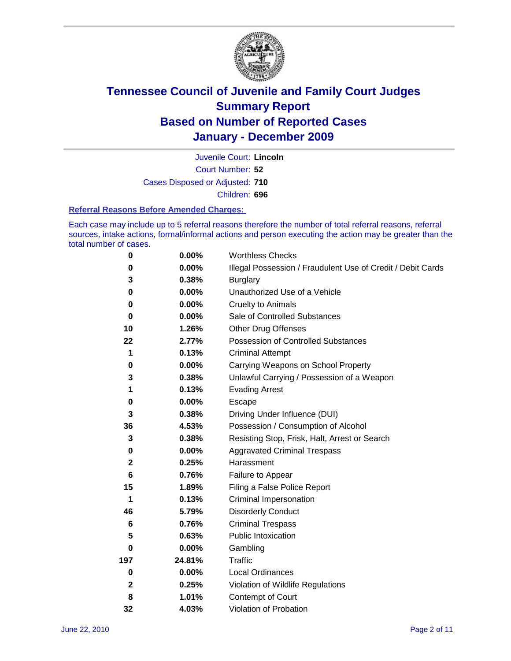

Court Number: **52** Juvenile Court: **Lincoln** Cases Disposed or Adjusted: **710** Children: **696**

#### **Referral Reasons Before Amended Charges:**

Each case may include up to 5 referral reasons therefore the number of total referral reasons, referral sources, intake actions, formal/informal actions and person executing the action may be greater than the total number of cases.

| $\pmb{0}$   | 0.00%    | <b>Worthless Checks</b>                                     |
|-------------|----------|-------------------------------------------------------------|
| 0           | 0.00%    | Illegal Possession / Fraudulent Use of Credit / Debit Cards |
| 3           | 0.38%    | <b>Burglary</b>                                             |
| $\bf{0}$    | $0.00\%$ | Unauthorized Use of a Vehicle                               |
| 0           | $0.00\%$ | <b>Cruelty to Animals</b>                                   |
| $\bf{0}$    | $0.00\%$ | Sale of Controlled Substances                               |
| 10          | 1.26%    | <b>Other Drug Offenses</b>                                  |
| 22          | 2.77%    | Possession of Controlled Substances                         |
| 1           | 0.13%    | <b>Criminal Attempt</b>                                     |
| 0           | 0.00%    | Carrying Weapons on School Property                         |
| 3           | 0.38%    | Unlawful Carrying / Possession of a Weapon                  |
| 1           | 0.13%    | <b>Evading Arrest</b>                                       |
| 0           | 0.00%    | Escape                                                      |
| 3           | 0.38%    | Driving Under Influence (DUI)                               |
| 36          | 4.53%    | Possession / Consumption of Alcohol                         |
| 3           | 0.38%    | Resisting Stop, Frisk, Halt, Arrest or Search               |
| 0           | $0.00\%$ | <b>Aggravated Criminal Trespass</b>                         |
| $\mathbf 2$ | 0.25%    | Harassment                                                  |
| 6           | 0.76%    | Failure to Appear                                           |
| 15          | 1.89%    | Filing a False Police Report                                |
| 1           | 0.13%    | Criminal Impersonation                                      |
| 46          | 5.79%    | <b>Disorderly Conduct</b>                                   |
| 6           | 0.76%    | <b>Criminal Trespass</b>                                    |
| 5           | 0.63%    | Public Intoxication                                         |
| 0           | $0.00\%$ | Gambling                                                    |
| 197         | 24.81%   | <b>Traffic</b>                                              |
| $\mathbf 0$ | $0.00\%$ | Local Ordinances                                            |
| $\mathbf 2$ | 0.25%    | Violation of Wildlife Regulations                           |
| 8           | 1.01%    | Contempt of Court                                           |
| 32          | 4.03%    | Violation of Probation                                      |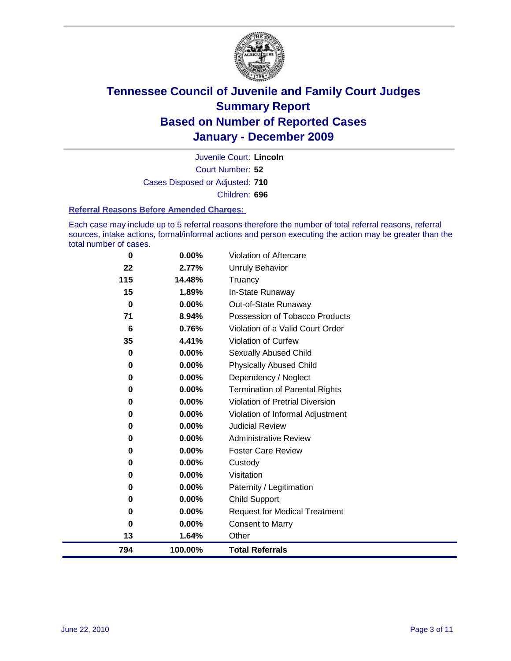

Court Number: **52** Juvenile Court: **Lincoln** Cases Disposed or Adjusted: **710** Children: **696**

#### **Referral Reasons Before Amended Charges:**

Each case may include up to 5 referral reasons therefore the number of total referral reasons, referral sources, intake actions, formal/informal actions and person executing the action may be greater than the total number of cases.

| 0           | 0.00%    | Violation of Aftercare                 |
|-------------|----------|----------------------------------------|
| 22          | 2.77%    | <b>Unruly Behavior</b>                 |
| 115         | 14.48%   | Truancy                                |
| 15          | 1.89%    | In-State Runaway                       |
| $\mathbf 0$ | 0.00%    | Out-of-State Runaway                   |
| 71          | 8.94%    | Possession of Tobacco Products         |
| 6           | 0.76%    | Violation of a Valid Court Order       |
| 35          | 4.41%    | <b>Violation of Curfew</b>             |
| 0           | $0.00\%$ | <b>Sexually Abused Child</b>           |
| 0           | 0.00%    | <b>Physically Abused Child</b>         |
| 0           | $0.00\%$ | Dependency / Neglect                   |
| 0           | 0.00%    | Termination of Parental Rights         |
| 0           | $0.00\%$ | <b>Violation of Pretrial Diversion</b> |
| 0           | 0.00%    | Violation of Informal Adjustment       |
| 0           | $0.00\%$ | <b>Judicial Review</b>                 |
| 0           | $0.00\%$ | <b>Administrative Review</b>           |
| 0           | $0.00\%$ | <b>Foster Care Review</b>              |
| 0           | $0.00\%$ | Custody                                |
| 0           | $0.00\%$ | Visitation                             |
| 0           | $0.00\%$ | Paternity / Legitimation               |
| 0           | 0.00%    | <b>Child Support</b>                   |
| 0           | $0.00\%$ | <b>Request for Medical Treatment</b>   |
| 0           | 0.00%    | <b>Consent to Marry</b>                |
| 13          | 1.64%    | Other                                  |
| 794         | 100.00%  | <b>Total Referrals</b>                 |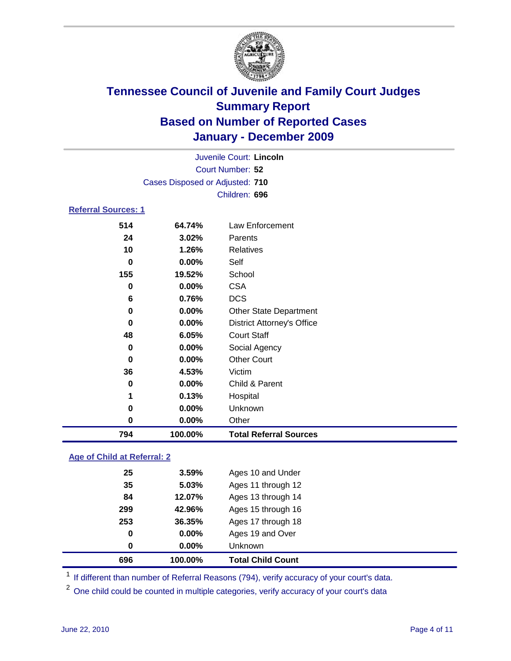

|                            | Juvenile Court: Lincoln         |                                   |  |  |  |
|----------------------------|---------------------------------|-----------------------------------|--|--|--|
| Court Number: 52           |                                 |                                   |  |  |  |
|                            | Cases Disposed or Adjusted: 710 |                                   |  |  |  |
|                            |                                 | Children: 696                     |  |  |  |
| <b>Referral Sources: 1</b> |                                 |                                   |  |  |  |
| 514                        | 64.74%                          | Law Enforcement                   |  |  |  |
| 24                         | 3.02%                           | Parents                           |  |  |  |
| 10                         | 1.26%                           | <b>Relatives</b>                  |  |  |  |
| 0                          | $0.00\%$                        | Self                              |  |  |  |
| 155                        | 19.52%                          | School                            |  |  |  |
| 0                          | 0.00%                           | <b>CSA</b>                        |  |  |  |
| 6                          | 0.76%                           | <b>DCS</b>                        |  |  |  |
| 0                          | 0.00%                           | <b>Other State Department</b>     |  |  |  |
| 0                          | $0.00\%$                        | <b>District Attorney's Office</b> |  |  |  |
| 48                         | 6.05%                           | <b>Court Staff</b>                |  |  |  |
| 0                          | $0.00\%$                        | Social Agency                     |  |  |  |
| 0                          | 0.00%                           | <b>Other Court</b>                |  |  |  |
| 36                         | 4.53%                           | Victim                            |  |  |  |
| 0                          | 0.00%                           | Child & Parent                    |  |  |  |
| 1                          | 0.13%                           | Hospital                          |  |  |  |
| 0                          | 0.00%                           | Unknown                           |  |  |  |
| 0                          | 0.00%                           | Other                             |  |  |  |
| 794                        | 100.00%                         | <b>Total Referral Sources</b>     |  |  |  |

### **Age of Child at Referral: 2**

| 696 | 100.00%  | <b>Total Child Count</b> |
|-----|----------|--------------------------|
| 0   | $0.00\%$ | Unknown                  |
| 0   | 0.00%    | Ages 19 and Over         |
| 253 | 36.35%   | Ages 17 through 18       |
| 299 | 42.96%   | Ages 15 through 16       |
| 84  | 12.07%   | Ages 13 through 14       |
| 35  | 5.03%    | Ages 11 through 12       |
| 25  | 3.59%    | Ages 10 and Under        |
|     |          |                          |

<sup>1</sup> If different than number of Referral Reasons (794), verify accuracy of your court's data.

<sup>2</sup> One child could be counted in multiple categories, verify accuracy of your court's data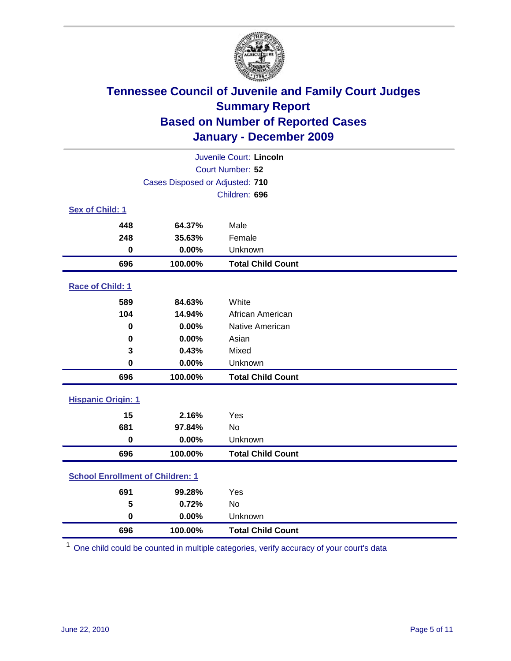

| Juvenile Court: Lincoln                 |                                 |                          |  |  |
|-----------------------------------------|---------------------------------|--------------------------|--|--|
| Court Number: 52                        |                                 |                          |  |  |
|                                         | Cases Disposed or Adjusted: 710 |                          |  |  |
|                                         |                                 | Children: 696            |  |  |
| Sex of Child: 1                         |                                 |                          |  |  |
| 448                                     | 64.37%                          | Male                     |  |  |
| 248                                     | 35.63%                          | Female                   |  |  |
| $\mathbf 0$                             | 0.00%                           | Unknown                  |  |  |
| 696                                     | 100.00%                         | <b>Total Child Count</b> |  |  |
| Race of Child: 1                        |                                 |                          |  |  |
| 589                                     | 84.63%                          | White                    |  |  |
| 104                                     | 14.94%                          | African American         |  |  |
| 0                                       | 0.00%                           | Native American          |  |  |
| 0                                       | 0.00%                           | Asian                    |  |  |
| 3                                       | 0.43%                           | Mixed                    |  |  |
| $\mathbf 0$                             | 0.00%                           | Unknown                  |  |  |
| 696                                     | 100.00%                         | <b>Total Child Count</b> |  |  |
| <b>Hispanic Origin: 1</b>               |                                 |                          |  |  |
| 15                                      | 2.16%                           | Yes                      |  |  |
| 681                                     | 97.84%                          | <b>No</b>                |  |  |
| $\mathbf 0$                             | 0.00%                           | Unknown                  |  |  |
| 696                                     | 100.00%                         | <b>Total Child Count</b> |  |  |
| <b>School Enrollment of Children: 1</b> |                                 |                          |  |  |
| 691                                     | 99.28%                          | Yes                      |  |  |
| 5                                       | 0.72%                           | No                       |  |  |
| $\mathbf 0$                             | 0.00%                           | Unknown                  |  |  |
| 696                                     | 100.00%                         | <b>Total Child Count</b> |  |  |

One child could be counted in multiple categories, verify accuracy of your court's data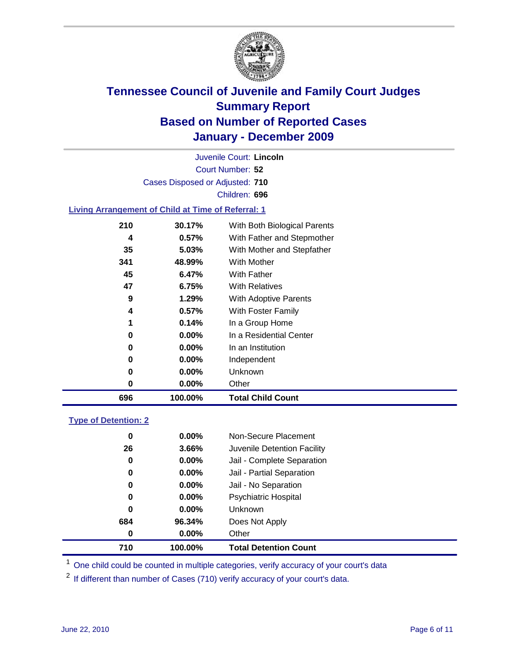

Court Number: **52** Juvenile Court: **Lincoln** Cases Disposed or Adjusted: **710** Children: **696**

### **Living Arrangement of Child at Time of Referral: 1**

| 696 | 100.00%  | <b>Total Child Count</b>     |
|-----|----------|------------------------------|
| 0   | 0.00%    | Other                        |
| 0   | 0.00%    | Unknown                      |
| 0   | $0.00\%$ | Independent                  |
| 0   | $0.00\%$ | In an Institution            |
| 0   | $0.00\%$ | In a Residential Center      |
| 1   | 0.14%    | In a Group Home              |
| 4   | 0.57%    | With Foster Family           |
| 9   | 1.29%    | With Adoptive Parents        |
| 47  | 6.75%    | <b>With Relatives</b>        |
| 45  | 6.47%    | With Father                  |
| 341 | 48.99%   | With Mother                  |
| 35  | 5.03%    | With Mother and Stepfather   |
| 4   | $0.57\%$ | With Father and Stepmother   |
| 210 | 30.17%   | With Both Biological Parents |
|     |          |                              |

#### **Type of Detention: 2**

| 710      | 100.00%  | <b>Total Detention Count</b> |
|----------|----------|------------------------------|
| 0        | $0.00\%$ | Other                        |
| 684      | 96.34%   | Does Not Apply               |
| $\bf{0}$ | $0.00\%$ | Unknown                      |
| 0        | $0.00\%$ | <b>Psychiatric Hospital</b>  |
| 0        | 0.00%    | Jail - No Separation         |
| 0        | $0.00\%$ | Jail - Partial Separation    |
| 0        | 0.00%    | Jail - Complete Separation   |
| 26       | 3.66%    | Juvenile Detention Facility  |
| 0        | $0.00\%$ | Non-Secure Placement         |
|          |          |                              |

<sup>1</sup> One child could be counted in multiple categories, verify accuracy of your court's data

<sup>2</sup> If different than number of Cases (710) verify accuracy of your court's data.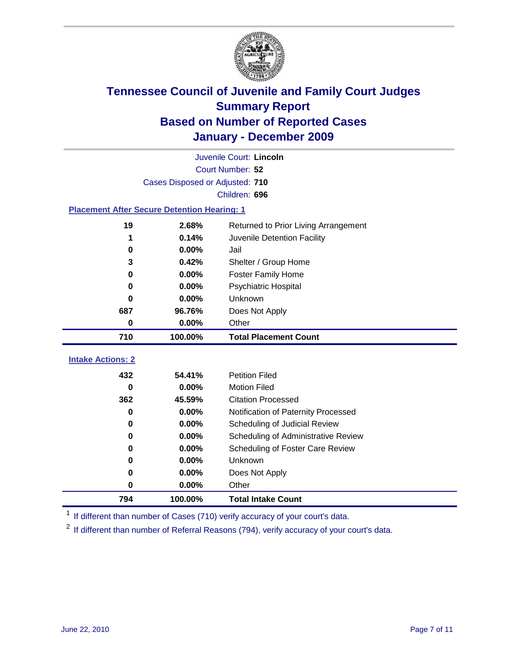

| Juvenile Court: Lincoln                            |                                 |                                      |  |  |  |
|----------------------------------------------------|---------------------------------|--------------------------------------|--|--|--|
| Court Number: 52                                   |                                 |                                      |  |  |  |
|                                                    | Cases Disposed or Adjusted: 710 |                                      |  |  |  |
|                                                    |                                 | Children: 696                        |  |  |  |
| <b>Placement After Secure Detention Hearing: 1</b> |                                 |                                      |  |  |  |
| 19                                                 | 2.68%                           | Returned to Prior Living Arrangement |  |  |  |
| 1                                                  | 0.14%                           | Juvenile Detention Facility          |  |  |  |
| $\bf{0}$                                           | 0.00%                           | Jail                                 |  |  |  |
| 3                                                  | 0.42%                           | Shelter / Group Home                 |  |  |  |
| $\bf{0}$                                           | 0.00%                           | <b>Foster Family Home</b>            |  |  |  |
| $\bf{0}$                                           | 0.00%                           | Psychiatric Hospital                 |  |  |  |
| 0                                                  | 0.00%                           | Unknown                              |  |  |  |
| 687                                                | 96.76%                          | Does Not Apply                       |  |  |  |
| $\bf{0}$                                           | 0.00%                           | Other                                |  |  |  |
| 710                                                | 100.00%                         | <b>Total Placement Count</b>         |  |  |  |
| <b>Intake Actions: 2</b>                           |                                 |                                      |  |  |  |
|                                                    |                                 |                                      |  |  |  |
| 432                                                | 54.41%                          | <b>Petition Filed</b>                |  |  |  |
| $\bf{0}$                                           | 0.00%                           | <b>Motion Filed</b>                  |  |  |  |
| 362                                                | 45.59%                          | <b>Citation Processed</b>            |  |  |  |
| $\bf{0}$                                           | 0.00%                           | Notification of Paternity Processed  |  |  |  |
| $\bf{0}$                                           | 0.00%                           | Scheduling of Judicial Review        |  |  |  |
| 0                                                  | 0.00%                           | Scheduling of Administrative Review  |  |  |  |
| $\bf{0}$                                           | 0.00%                           | Scheduling of Foster Care Review     |  |  |  |
| $\bf{0}$                                           | 0.00%                           | Unknown                              |  |  |  |
| 0                                                  | 0.00%                           | Does Not Apply                       |  |  |  |
| 0                                                  | 0.00%                           | Other                                |  |  |  |
| 794                                                | 100.00%                         | <b>Total Intake Count</b>            |  |  |  |

<sup>1</sup> If different than number of Cases (710) verify accuracy of your court's data.

<sup>2</sup> If different than number of Referral Reasons (794), verify accuracy of your court's data.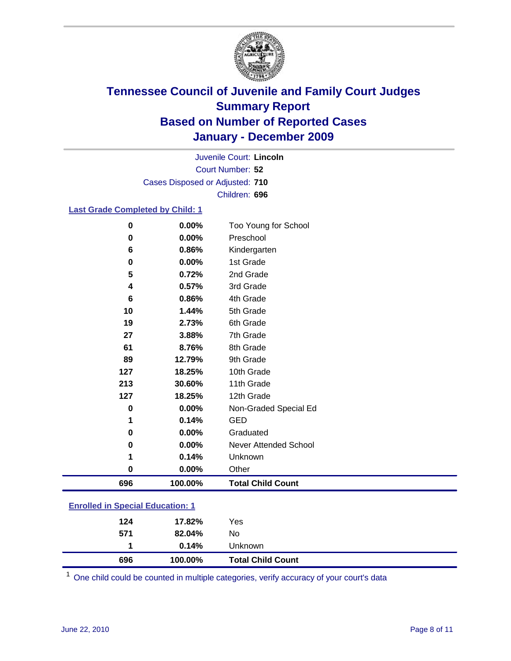

Court Number: **52** Juvenile Court: **Lincoln** Cases Disposed or Adjusted: **710** Children: **696**

### **Last Grade Completed by Child: 1**

| 0                                       | 0.00%   | Too Young for School         |  |
|-----------------------------------------|---------|------------------------------|--|
| 0                                       | 0.00%   | Preschool                    |  |
| $6\phantom{1}$                          | 0.86%   | Kindergarten                 |  |
| 0                                       | 0.00%   | 1st Grade                    |  |
| 5                                       | 0.72%   | 2nd Grade                    |  |
| 4                                       | 0.57%   | 3rd Grade                    |  |
| 6                                       | 0.86%   | 4th Grade                    |  |
| 10                                      | 1.44%   | 5th Grade                    |  |
| 19                                      | 2.73%   | 6th Grade                    |  |
| 27                                      | 3.88%   | 7th Grade                    |  |
| 61                                      | 8.76%   | 8th Grade                    |  |
| 89                                      | 12.79%  | 9th Grade                    |  |
| 127                                     | 18.25%  | 10th Grade                   |  |
| 213                                     | 30.60%  | 11th Grade                   |  |
| 127                                     | 18.25%  | 12th Grade                   |  |
| 0                                       | 0.00%   | Non-Graded Special Ed        |  |
| 1                                       | 0.14%   | <b>GED</b>                   |  |
| 0                                       | 0.00%   | Graduated                    |  |
| $\bf{0}$                                | 0.00%   | <b>Never Attended School</b> |  |
| 1                                       | 0.14%   | Unknown                      |  |
| $\bf{0}$                                | 0.00%   | Other                        |  |
| 696                                     | 100.00% | <b>Total Child Count</b>     |  |
| <b>Enrolled in Special Education: 1</b> |         |                              |  |

| 696 | 100.00% | <b>Total Child Count</b> |
|-----|---------|--------------------------|
|     | 0.14%   | Unknown                  |
| 571 | 82.04%  | No                       |
| 124 | 17.82%  | Yes                      |
|     |         |                          |

One child could be counted in multiple categories, verify accuracy of your court's data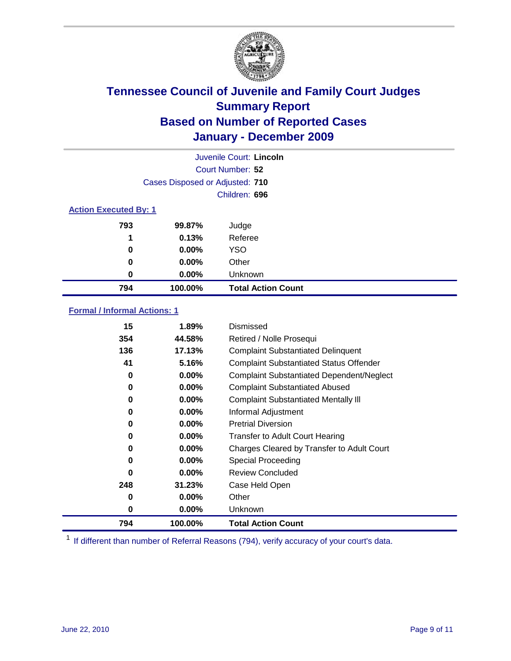

| Juvenile Court: Lincoln      |                                 |                           |  |  |
|------------------------------|---------------------------------|---------------------------|--|--|
|                              | Court Number: 52                |                           |  |  |
|                              | Cases Disposed or Adjusted: 710 |                           |  |  |
|                              | Children: 696                   |                           |  |  |
| <b>Action Executed By: 1</b> |                                 |                           |  |  |
| 793                          | 99.87%                          | Judge                     |  |  |
| 1                            | 0.13%                           | Referee                   |  |  |
| 0                            | $0.00\%$                        | <b>YSO</b>                |  |  |
| 0                            | $0.00\%$                        | Other                     |  |  |
| 0                            | 0.00%                           | Unknown                   |  |  |
| 794                          | 100.00%                         | <b>Total Action Count</b> |  |  |

### **Formal / Informal Actions: 1**

| 15  | 1.89%    | Dismissed                                        |
|-----|----------|--------------------------------------------------|
| 354 | 44.58%   | Retired / Nolle Prosequi                         |
| 136 | 17.13%   | <b>Complaint Substantiated Delinquent</b>        |
| 41  | 5.16%    | <b>Complaint Substantiated Status Offender</b>   |
| 0   | $0.00\%$ | <b>Complaint Substantiated Dependent/Neglect</b> |
| 0   | 0.00%    | <b>Complaint Substantiated Abused</b>            |
| 0   | $0.00\%$ | <b>Complaint Substantiated Mentally III</b>      |
| 0   | $0.00\%$ | Informal Adjustment                              |
| 0   | $0.00\%$ | <b>Pretrial Diversion</b>                        |
| 0   | $0.00\%$ | <b>Transfer to Adult Court Hearing</b>           |
| 0   | $0.00\%$ | Charges Cleared by Transfer to Adult Court       |
| 0   | $0.00\%$ | Special Proceeding                               |
| 0   | $0.00\%$ | <b>Review Concluded</b>                          |
| 248 | 31.23%   | Case Held Open                                   |
| 0   | $0.00\%$ | Other                                            |
| 0   | $0.00\%$ | <b>Unknown</b>                                   |
| 794 | 100.00%  | <b>Total Action Count</b>                        |

<sup>1</sup> If different than number of Referral Reasons (794), verify accuracy of your court's data.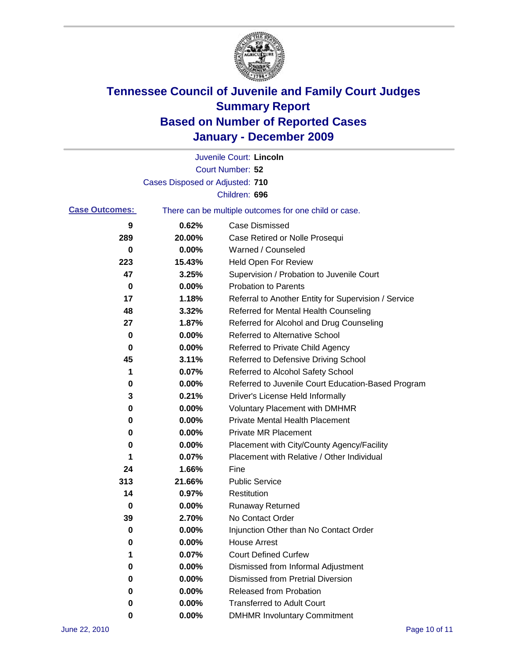

|                       |                                 | Juvenile Court: Lincoln                               |
|-----------------------|---------------------------------|-------------------------------------------------------|
|                       |                                 | Court Number: 52                                      |
|                       | Cases Disposed or Adjusted: 710 |                                                       |
|                       |                                 | Children: 696                                         |
| <b>Case Outcomes:</b> |                                 | There can be multiple outcomes for one child or case. |
| 9                     | 0.62%                           | <b>Case Dismissed</b>                                 |
| 289                   | 20.00%                          | Case Retired or Nolle Prosequi                        |
| 0                     | 0.00%                           | Warned / Counseled                                    |
| 223                   | 15.43%                          | <b>Held Open For Review</b>                           |
| 47                    | 3.25%                           | Supervision / Probation to Juvenile Court             |
| 0                     | 0.00%                           | <b>Probation to Parents</b>                           |
| 17                    | 1.18%                           | Referral to Another Entity for Supervision / Service  |
| 48                    | 3.32%                           | Referred for Mental Health Counseling                 |
| 27                    | 1.87%                           | Referred for Alcohol and Drug Counseling              |
| 0                     | 0.00%                           | <b>Referred to Alternative School</b>                 |
| 0                     | 0.00%                           | Referred to Private Child Agency                      |
| 45                    | 3.11%                           | Referred to Defensive Driving School                  |
| 1                     | 0.07%                           | Referred to Alcohol Safety School                     |
| 0                     | 0.00%                           | Referred to Juvenile Court Education-Based Program    |
| 3                     | 0.21%                           | Driver's License Held Informally                      |
| 0                     | 0.00%                           | <b>Voluntary Placement with DMHMR</b>                 |
| 0                     | 0.00%                           | <b>Private Mental Health Placement</b>                |
| 0                     | 0.00%                           | <b>Private MR Placement</b>                           |
| 0                     | 0.00%                           | Placement with City/County Agency/Facility            |
| 1                     | 0.07%                           | Placement with Relative / Other Individual            |
| 24                    | 1.66%                           | Fine                                                  |
| 313                   | 21.66%                          | <b>Public Service</b>                                 |
| 14                    | 0.97%                           | Restitution                                           |
| 0                     | 0.00%                           | <b>Runaway Returned</b>                               |
| 39                    | 2.70%                           | No Contact Order                                      |
| 0                     | 0.00%                           | Injunction Other than No Contact Order                |
| 0                     | 0.00%                           | <b>House Arrest</b>                                   |
| 1                     | 0.07%                           | <b>Court Defined Curfew</b>                           |
| 0                     | 0.00%                           | Dismissed from Informal Adjustment                    |
| 0                     | 0.00%                           | <b>Dismissed from Pretrial Diversion</b>              |
| 0                     | 0.00%                           | Released from Probation                               |
| 0                     | 0.00%                           | <b>Transferred to Adult Court</b>                     |
| 0                     | $0.00\%$                        | <b>DMHMR Involuntary Commitment</b>                   |